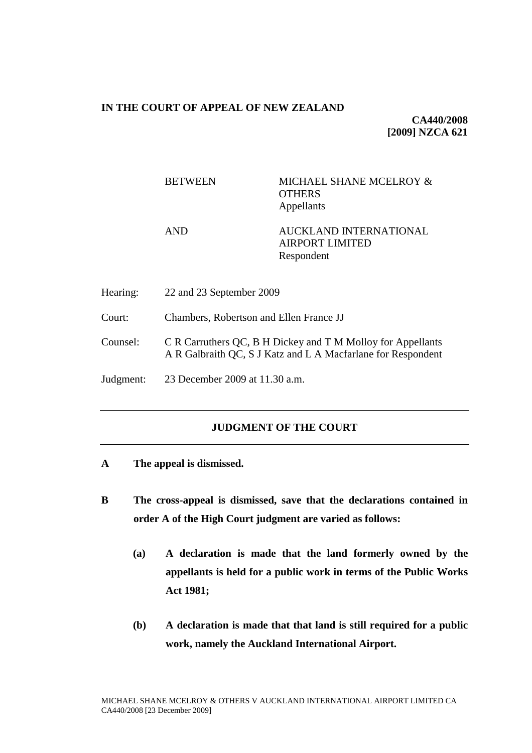## **IN THE COURT OF APPEAL OF NEW ZEALAND**

**CA440/2008 [2009] NZCA 621** 

# BETWEEN MICHAEL SHANE MCELROY & **OTHERS** Appellants AND AUCKLAND INTERNATIONAL AIRPORT LIMITED Respondent

| Hearing:  | 22 and 23 September 2009                                                                                                    |
|-----------|-----------------------------------------------------------------------------------------------------------------------------|
| Court:    | Chambers, Robertson and Ellen France JJ                                                                                     |
| Counsel:  | C R Carruthers QC, B H Dickey and T M Molloy for Appellants<br>A R Galbraith QC, S J Katz and L A Macfarlane for Respondent |
| Judgment: | 23 December 2009 at 11.30 a.m.                                                                                              |

## **JUDGMENT OF THE COURT**

- **A The appeal is dismissed.**
- **B The cross-appeal is dismissed, save that the declarations contained in order A of the High Court judgment are varied as follows:** 
	- **(a) A declaration is made that the land formerly owned by the appellants is held for a public work in terms of the Public Works Act 1981;**
	- **(b) A declaration is made that that land is still required for a public work, namely the Auckland International Airport.**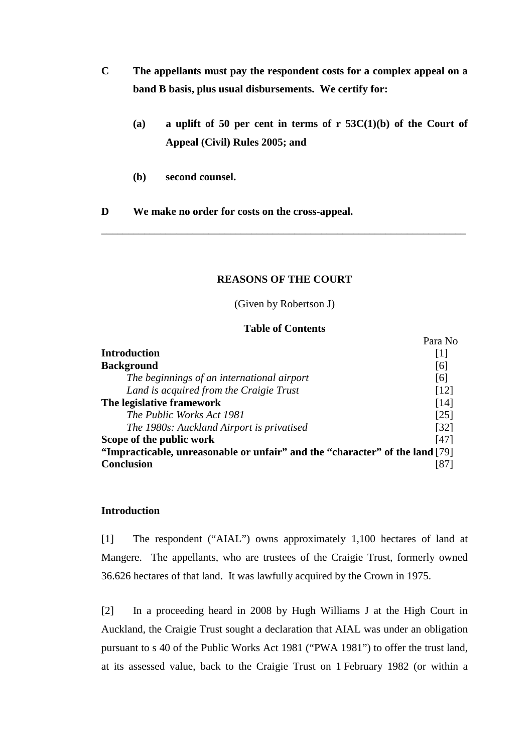- **C The appellants must pay the respondent costs for a complex appeal on a band B basis, plus usual disbursements. We certify for:** 
	- **(a) a uplift of 50 per cent in terms of r 53C(1)(b) of the Court of Appeal (Civil) Rules 2005; and**
	- **(b) second counsel.**

**D We make no order for costs on the cross-appeal.** 

## **REASONS OF THE COURT**

\_\_\_\_\_\_\_\_\_\_\_\_\_\_\_\_\_\_\_\_\_\_\_\_\_\_\_\_\_\_\_\_\_\_\_\_\_\_\_\_\_\_\_\_\_\_\_\_\_\_\_\_\_\_\_\_\_\_\_\_\_\_\_\_\_\_\_\_

(Given by Robertson J)

## **Table of Contents**

|                                                                              | Para No            |  |
|------------------------------------------------------------------------------|--------------------|--|
| <b>Introduction</b>                                                          | $\lceil 1 \rceil$  |  |
| <b>Background</b>                                                            |                    |  |
| The beginnings of an international airport                                   | [6]                |  |
| Land is acquired from the Craigie Trust                                      | [12]               |  |
| The legislative framework                                                    |                    |  |
| The Public Works Act 1981                                                    | [25]               |  |
| The 1980s: Auckland Airport is privatised                                    | $\lceil 32 \rceil$ |  |
| Scope of the public work                                                     |                    |  |
| "Impracticable, unreasonable or unfair" and the "character" of the land [79] |                    |  |
| <b>Conclusion</b>                                                            |                    |  |

#### **Introduction**

[1] The respondent ("AIAL") owns approximately 1,100 hectares of land at Mangere. The appellants, who are trustees of the Craigie Trust, formerly owned 36.626 hectares of that land. It was lawfully acquired by the Crown in 1975.

[2] In a proceeding heard in 2008 by Hugh Williams J at the High Court in Auckland, the Craigie Trust sought a declaration that AIAL was under an obligation pursuant to s 40 of the Public Works Act 1981 ("PWA 1981") to offer the trust land, at its assessed value, back to the Craigie Trust on 1 February 1982 (or within a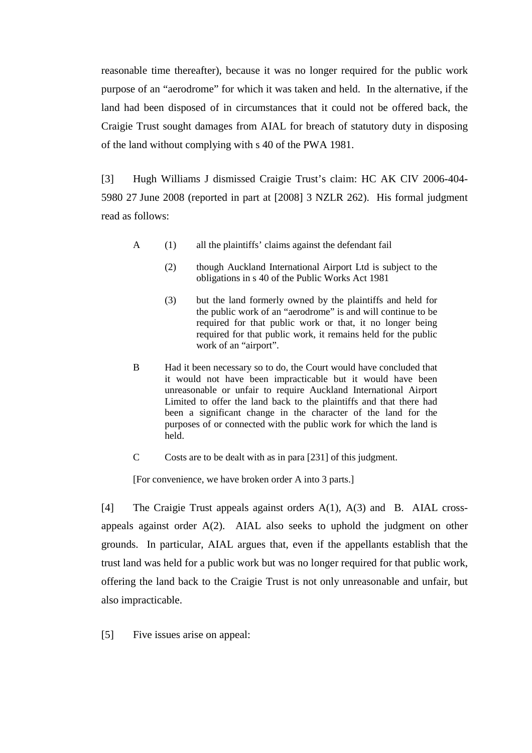reasonable time thereafter), because it was no longer required for the public work purpose of an "aerodrome" for which it was taken and held. In the alternative, if the land had been disposed of in circumstances that it could not be offered back, the Craigie Trust sought damages from AIAL for breach of statutory duty in disposing of the land without complying with s 40 of the PWA 1981.

[3] Hugh Williams J dismissed Craigie Trust's claim: HC AK CIV 2006-404- 5980 27 June 2008 (reported in part at [2008] 3 NZLR 262). His formal judgment read as follows:

- A (1) all the plaintiffs' claims against the defendant fail
	- (2) though Auckland International Airport Ltd is subject to the obligations in s 40 of the Public Works Act 1981
	- (3) but the land formerly owned by the plaintiffs and held for the public work of an "aerodrome" is and will continue to be required for that public work or that, it no longer being required for that public work, it remains held for the public work of an "airport".
- B Had it been necessary so to do, the Court would have concluded that it would not have been impracticable but it would have been unreasonable or unfair to require Auckland International Airport Limited to offer the land back to the plaintiffs and that there had been a significant change in the character of the land for the purposes of or connected with the public work for which the land is held.
- C Costs are to be dealt with as in para [231] of this judgment.

[For convenience, we have broken order A into 3 parts.]

[4] The Craigie Trust appeals against orders A(1), A(3) and B. AIAL crossappeals against order A(2). AIAL also seeks to uphold the judgment on other grounds. In particular, AIAL argues that, even if the appellants establish that the trust land was held for a public work but was no longer required for that public work, offering the land back to the Craigie Trust is not only unreasonable and unfair, but also impracticable.

[5] Five issues arise on appeal: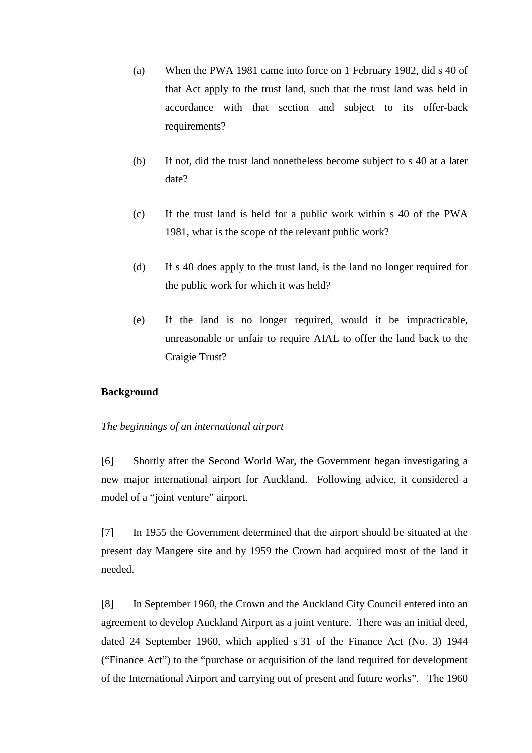- (a) When the PWA 1981 came into force on 1 February 1982, did s 40 of that Act apply to the trust land, such that the trust land was held in accordance with that section and subject to its offer-back requirements?
- (b) If not, did the trust land nonetheless become subject to s 40 at a later date?
- (c) If the trust land is held for a public work within s 40 of the PWA 1981, what is the scope of the relevant public work?
- (d) If s 40 does apply to the trust land, is the land no longer required for the public work for which it was held?
- (e) If the land is no longer required, would it be impracticable, unreasonable or unfair to require AIAL to offer the land back to the Craigie Trust?

## **Background**

## *The beginnings of an international airport*

[6] Shortly after the Second World War, the Government began investigating a new major international airport for Auckland. Following advice, it considered a model of a "joint venture" airport.

[7] In 1955 the Government determined that the airport should be situated at the present day Mangere site and by 1959 the Crown had acquired most of the land it needed.

[8] In September 1960, the Crown and the Auckland City Council entered into an agreement to develop Auckland Airport as a joint venture. There was an initial deed, dated 24 September 1960, which applied s 31 of the Finance Act (No. 3) 1944 ("Finance Act") to the "purchase or acquisition of the land required for development of the International Airport and carrying out of present and future works". The 1960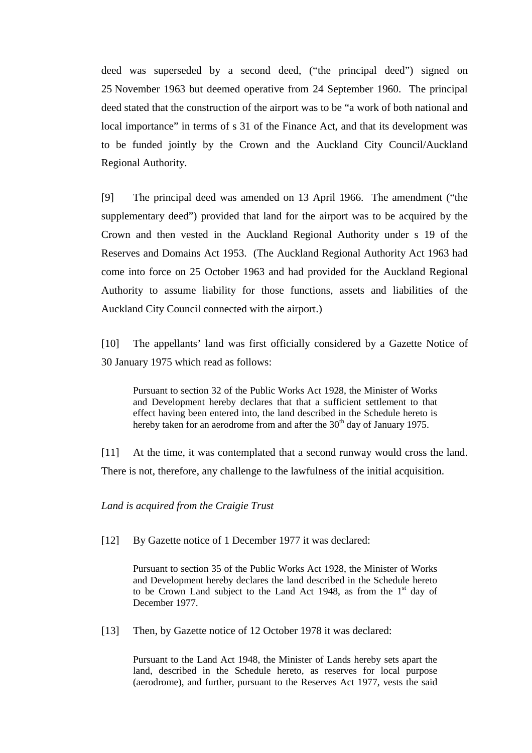deed was superseded by a second deed, ("the principal deed") signed on 25 November 1963 but deemed operative from 24 September 1960. The principal deed stated that the construction of the airport was to be "a work of both national and local importance" in terms of s 31 of the Finance Act, and that its development was to be funded jointly by the Crown and the Auckland City Council/Auckland Regional Authority.

[9] The principal deed was amended on 13 April 1966. The amendment ("the supplementary deed") provided that land for the airport was to be acquired by the Crown and then vested in the Auckland Regional Authority under s 19 of the Reserves and Domains Act 1953. (The Auckland Regional Authority Act 1963 had come into force on 25 October 1963 and had provided for the Auckland Regional Authority to assume liability for those functions, assets and liabilities of the Auckland City Council connected with the airport.)

[10] The appellants' land was first officially considered by a Gazette Notice of 30 January 1975 which read as follows:

Pursuant to section 32 of the Public Works Act 1928, the Minister of Works and Development hereby declares that that a sufficient settlement to that effect having been entered into, the land described in the Schedule hereto is hereby taken for an aerodrome from and after the  $30<sup>th</sup>$  day of January 1975.

[11] At the time, it was contemplated that a second runway would cross the land. There is not, therefore, any challenge to the lawfulness of the initial acquisition.

*Land is acquired from the Craigie Trust* 

[12] By Gazette notice of 1 December 1977 it was declared:

Pursuant to section 35 of the Public Works Act 1928, the Minister of Works and Development hereby declares the land described in the Schedule hereto to be Crown Land subject to the Land Act 1948, as from the  $1<sup>st</sup>$  day of December 1977.

[13] Then, by Gazette notice of 12 October 1978 it was declared:

Pursuant to the Land Act 1948, the Minister of Lands hereby sets apart the land, described in the Schedule hereto, as reserves for local purpose (aerodrome), and further, pursuant to the Reserves Act 1977, vests the said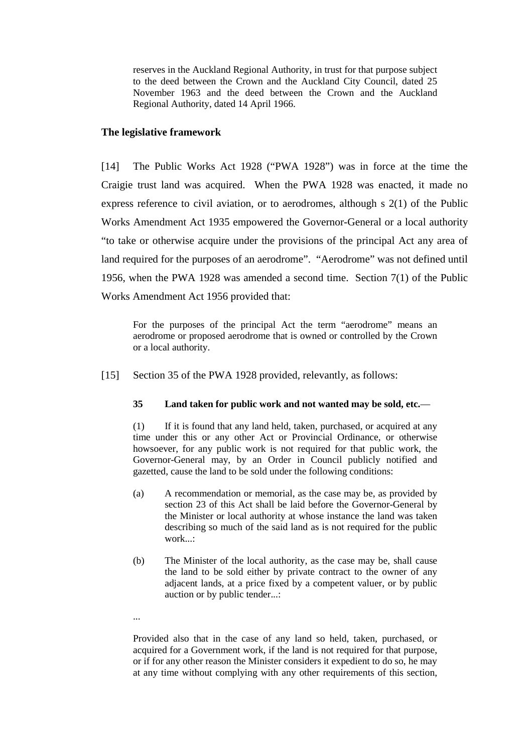reserves in the Auckland Regional Authority, in trust for that purpose subject to the deed between the Crown and the Auckland City Council, dated 25 November 1963 and the deed between the Crown and the Auckland Regional Authority, dated 14 April 1966.

## **The legislative framework**

...

[14] The Public Works Act 1928 ("PWA 1928") was in force at the time the Craigie trust land was acquired. When the PWA 1928 was enacted, it made no express reference to civil aviation, or to aerodromes, although s 2(1) of the Public Works Amendment Act 1935 empowered the Governor-General or a local authority "to take or otherwise acquire under the provisions of the principal Act any area of land required for the purposes of an aerodrome". "Aerodrome" was not defined until 1956, when the PWA 1928 was amended a second time. Section 7(1) of the Public Works Amendment Act 1956 provided that:

For the purposes of the principal Act the term "aerodrome" means an aerodrome or proposed aerodrome that is owned or controlled by the Crown or a local authority.

[15] Section 35 of the PWA 1928 provided, relevantly, as follows:

#### **35 Land taken for public work and not wanted may be sold, etc.**—

(1) If it is found that any land held, taken, purchased, or acquired at any time under this or any other Act or Provincial Ordinance, or otherwise howsoever, for any public work is not required for that public work, the Governor-General may, by an Order in Council publicly notified and gazetted, cause the land to be sold under the following conditions:

- (a) A recommendation or memorial, as the case may be, as provided by section 23 of this Act shall be laid before the Governor-General by the Minister or local authority at whose instance the land was taken describing so much of the said land as is not required for the public work...:
- (b) The Minister of the local authority, as the case may be, shall cause the land to be sold either by private contract to the owner of any adjacent lands, at a price fixed by a competent valuer, or by public auction or by public tender...:

Provided also that in the case of any land so held, taken, purchased, or acquired for a Government work, if the land is not required for that purpose, or if for any other reason the Minister considers it expedient to do so, he may at any time without complying with any other requirements of this section,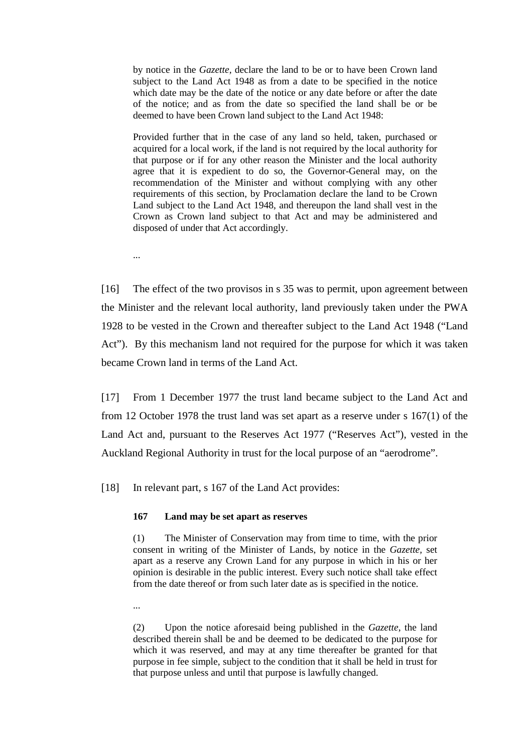by notice in the *Gazette,* declare the land to be or to have been Crown land subject to the Land Act 1948 as from a date to be specified in the notice which date may be the date of the notice or any date before or after the date of the notice; and as from the date so specified the land shall be or be deemed to have been Crown land subject to the Land Act 1948:

Provided further that in the case of any land so held, taken, purchased or acquired for a local work, if the land is not required by the local authority for that purpose or if for any other reason the Minister and the local authority agree that it is expedient to do so, the Governor-General may, on the recommendation of the Minister and without complying with any other requirements of this section, by Proclamation declare the land to be Crown Land subject to the Land Act 1948, and thereupon the land shall vest in the Crown as Crown land subject to that Act and may be administered and disposed of under that Act accordingly.

...

[16] The effect of the two provisos in s 35 was to permit, upon agreement between the Minister and the relevant local authority, land previously taken under the PWA 1928 to be vested in the Crown and thereafter subject to the Land Act 1948 ("Land Act"). By this mechanism land not required for the purpose for which it was taken became Crown land in terms of the Land Act.

[17] From 1 December 1977 the trust land became subject to the Land Act and from 12 October 1978 the trust land was set apart as a reserve under s 167(1) of the Land Act and, pursuant to the Reserves Act 1977 ("Reserves Act"), vested in the Auckland Regional Authority in trust for the local purpose of an "aerodrome".

[18] In relevant part, s 167 of the Land Act provides:

## **167 Land may be set apart as reserves**

(1) The Minister of Conservation may from time to time, with the prior consent in writing of the Minister of Lands, by notice in the *Gazette,* set apart as a reserve any Crown Land for any purpose in which in his or her opinion is desirable in the public interest. Every such notice shall take effect from the date thereof or from such later date as is specified in the notice.

...

(2) Upon the notice aforesaid being published in the *Gazette*, the land described therein shall be and be deemed to be dedicated to the purpose for which it was reserved, and may at any time thereafter be granted for that purpose in fee simple, subject to the condition that it shall be held in trust for that purpose unless and until that purpose is lawfully changed.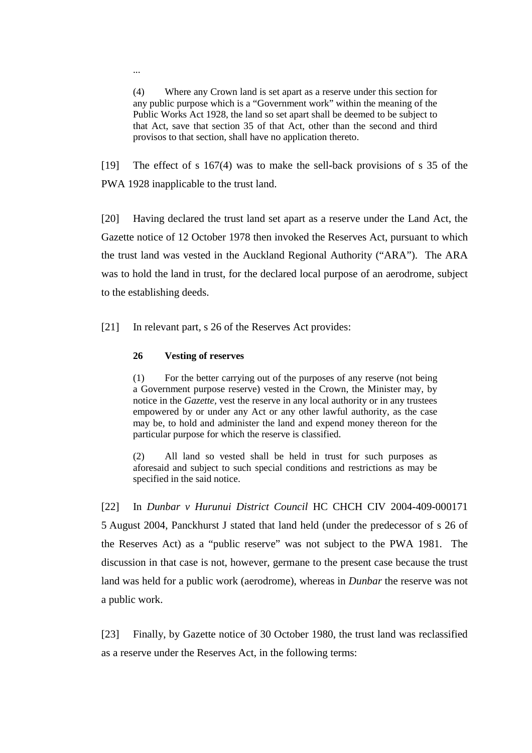(4) Where any Crown land is set apart as a reserve under this section for any public purpose which is a "Government work" within the meaning of the Public Works Act 1928, the land so set apart shall be deemed to be subject to that Act, save that section 35 of that Act, other than the second and third provisos to that section, shall have no application thereto.

[19] The effect of s 167(4) was to make the sell-back provisions of s 35 of the PWA 1928 inapplicable to the trust land.

[20] Having declared the trust land set apart as a reserve under the Land Act, the Gazette notice of 12 October 1978 then invoked the Reserves Act, pursuant to which the trust land was vested in the Auckland Regional Authority ("ARA"). The ARA was to hold the land in trust, for the declared local purpose of an aerodrome, subject to the establishing deeds.

[21] In relevant part, s 26 of the Reserves Act provides:

#### **26 Vesting of reserves**

...

(1) For the better carrying out of the purposes of any reserve (not being a Government purpose reserve) vested in the Crown, the Minister may, by notice in the *Gazette,* vest the reserve in any local authority or in any trustees empowered by or under any Act or any other lawful authority, as the case may be, to hold and administer the land and expend money thereon for the particular purpose for which the reserve is classified.

(2) All land so vested shall be held in trust for such purposes as aforesaid and subject to such special conditions and restrictions as may be specified in the said notice.

[22] In *Dunbar v Hurunui District Council* HC CHCH CIV 2004-409-000171 5 August 2004, Panckhurst J stated that land held (under the predecessor of s 26 of the Reserves Act) as a "public reserve" was not subject to the PWA 1981. The discussion in that case is not, however, germane to the present case because the trust land was held for a public work (aerodrome), whereas in *Dunbar* the reserve was not a public work.

[23] Finally, by Gazette notice of 30 October 1980, the trust land was reclassified as a reserve under the Reserves Act, in the following terms: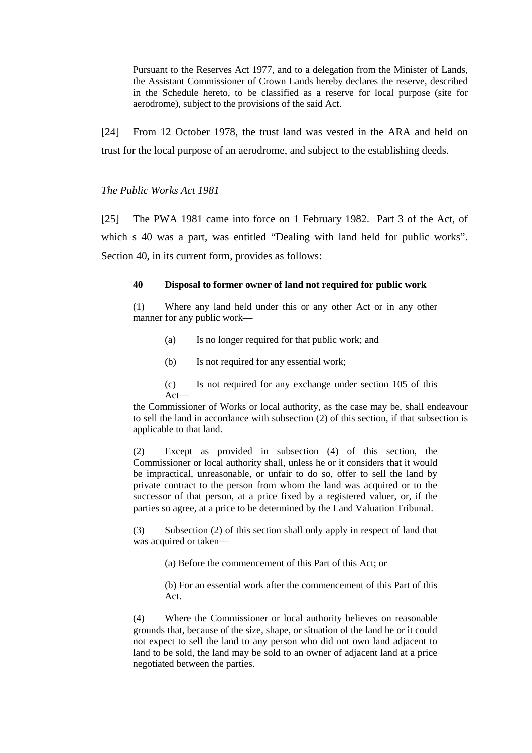Pursuant to the Reserves Act 1977, and to a delegation from the Minister of Lands, the Assistant Commissioner of Crown Lands hereby declares the reserve, described in the Schedule hereto, to be classified as a reserve for local purpose (site for aerodrome), subject to the provisions of the said Act.

[24] From 12 October 1978, the trust land was vested in the ARA and held on trust for the local purpose of an aerodrome, and subject to the establishing deeds.

## *The Public Works Act 1981*

[25] The PWA 1981 came into force on 1 February 1982. Part 3 of the Act, of which s 40 was a part, was entitled "Dealing with land held for public works". Section 40, in its current form, provides as follows:

#### **40 Disposal to former owner of land not required for public work**

(1) Where any land held under this or any other Act or in any other manner for any public work—

- (a) Is no longer required for that public work; and
- (b) Is not required for any essential work;
- (c) Is not required for any exchange under section 105 of this Act—

the Commissioner of Works or local authority, as the case may be, shall endeavour to sell the land in accordance with subsection (2) of this section, if that subsection is applicable to that land.

(2) Except as provided in subsection (4) of this section, the Commissioner or local authority shall, unless he or it considers that it would be impractical, unreasonable, or unfair to do so, offer to sell the land by private contract to the person from whom the land was acquired or to the successor of that person, at a price fixed by a registered valuer, or, if the parties so agree, at a price to be determined by the Land Valuation Tribunal.

(3) Subsection (2) of this section shall only apply in respect of land that was acquired or taken—

(a) Before the commencement of this Part of this Act; or

(b) For an essential work after the commencement of this Part of this Act.

(4) Where the Commissioner or local authority believes on reasonable grounds that, because of the size, shape, or situation of the land he or it could not expect to sell the land to any person who did not own land adjacent to land to be sold, the land may be sold to an owner of adjacent land at a price negotiated between the parties.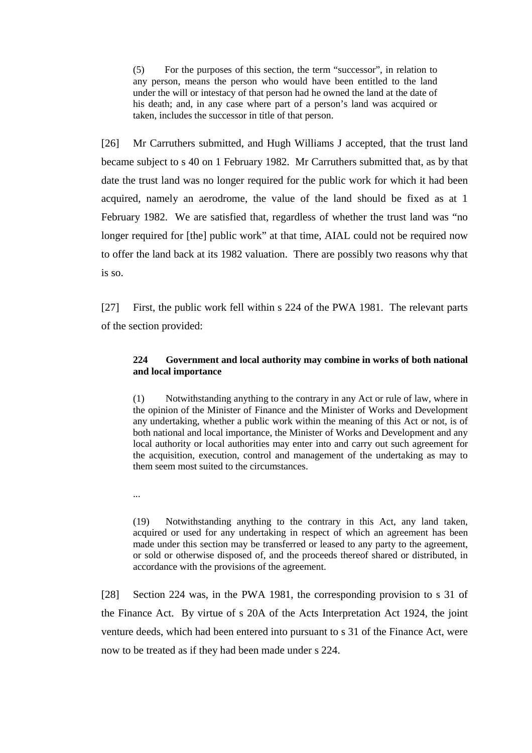(5) For the purposes of this section, the term "successor", in relation to any person, means the person who would have been entitled to the land under the will or intestacy of that person had he owned the land at the date of his death; and, in any case where part of a person's land was acquired or taken, includes the successor in title of that person.

[26] Mr Carruthers submitted, and Hugh Williams J accepted, that the trust land became subject to s 40 on 1 February 1982. Mr Carruthers submitted that, as by that date the trust land was no longer required for the public work for which it had been acquired, namely an aerodrome, the value of the land should be fixed as at 1 February 1982. We are satisfied that, regardless of whether the trust land was "no longer required for [the] public work" at that time, AIAL could not be required now to offer the land back at its 1982 valuation. There are possibly two reasons why that is so.

[27] First, the public work fell within s 224 of the PWA 1981. The relevant parts of the section provided:

## **224 Government and local authority may combine in works of both national and local importance**

(1) Notwithstanding anything to the contrary in any Act or rule of law, where in the opinion of the Minister of Finance and the Minister of Works and Development any undertaking, whether a public work within the meaning of this Act or not, is of both national and local importance, the Minister of Works and Development and any local authority or local authorities may enter into and carry out such agreement for the acquisition, execution, control and management of the undertaking as may to them seem most suited to the circumstances.

...

(19) Notwithstanding anything to the contrary in this Act, any land taken, acquired or used for any undertaking in respect of which an agreement has been made under this section may be transferred or leased to any party to the agreement, or sold or otherwise disposed of, and the proceeds thereof shared or distributed, in accordance with the provisions of the agreement.

[28] Section 224 was, in the PWA 1981, the corresponding provision to s 31 of the Finance Act. By virtue of s 20A of the Acts Interpretation Act 1924, the joint venture deeds, which had been entered into pursuant to s 31 of the Finance Act, were now to be treated as if they had been made under s 224.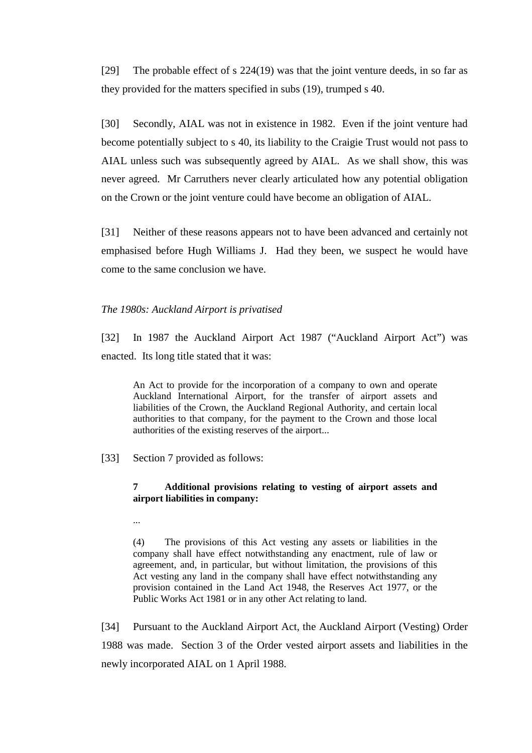[29] The probable effect of s 224(19) was that the joint venture deeds, in so far as they provided for the matters specified in subs (19), trumped s 40.

[30] Secondly, AIAL was not in existence in 1982. Even if the joint venture had become potentially subject to s 40, its liability to the Craigie Trust would not pass to AIAL unless such was subsequently agreed by AIAL. As we shall show, this was never agreed. Mr Carruthers never clearly articulated how any potential obligation on the Crown or the joint venture could have become an obligation of AIAL.

[31] Neither of these reasons appears not to have been advanced and certainly not emphasised before Hugh Williams J. Had they been, we suspect he would have come to the same conclusion we have.

## *The 1980s: Auckland Airport is privatised*

[32] In 1987 the Auckland Airport Act 1987 ("Auckland Airport Act") was enacted. Its long title stated that it was:

An Act to provide for the incorporation of a company to own and operate Auckland International Airport, for the transfer of airport assets and liabilities of the Crown, the Auckland Regional Authority, and certain local authorities to that company, for the payment to the Crown and those local authorities of the existing reserves of the airport...

[33] Section 7 provided as follows:

## **7 Additional provisions relating to vesting of airport assets and airport liabilities in company:**

...

(4) The provisions of this Act vesting any assets or liabilities in the company shall have effect notwithstanding any enactment, rule of law or agreement, and, in particular, but without limitation, the provisions of this Act vesting any land in the company shall have effect notwithstanding any provision contained in the Land Act 1948, the Reserves Act 1977, or the Public Works Act 1981 or in any other Act relating to land.

[34] Pursuant to the Auckland Airport Act, the Auckland Airport (Vesting) Order 1988 was made. Section 3 of the Order vested airport assets and liabilities in the newly incorporated AIAL on 1 April 1988.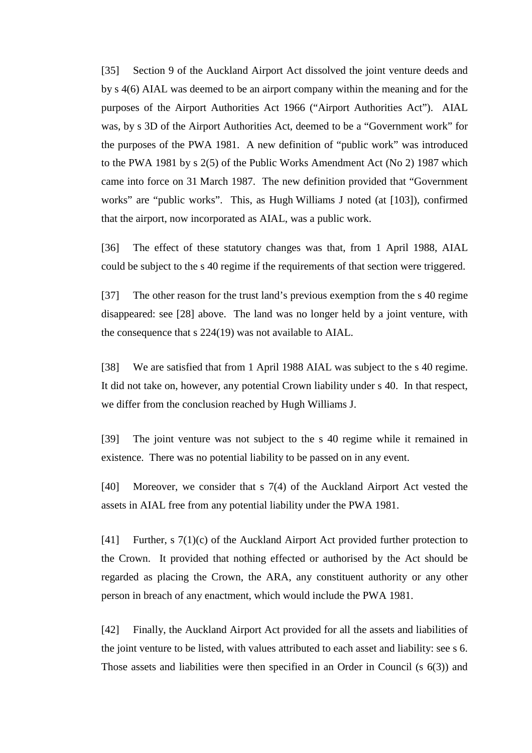[35] Section 9 of the Auckland Airport Act dissolved the joint venture deeds and by s 4(6) AIAL was deemed to be an airport company within the meaning and for the purposes of the Airport Authorities Act 1966 ("Airport Authorities Act"). AIAL was, by s 3D of the Airport Authorities Act, deemed to be a "Government work" for the purposes of the PWA 1981. A new definition of "public work" was introduced to the PWA 1981 by s 2(5) of the Public Works Amendment Act (No 2) 1987 which came into force on 31 March 1987. The new definition provided that "Government works" are "public works". This, as Hugh Williams J noted (at [103]), confirmed that the airport, now incorporated as AIAL, was a public work.

[36] The effect of these statutory changes was that, from 1 April 1988, AIAL could be subject to the s 40 regime if the requirements of that section were triggered.

[37] The other reason for the trust land's previous exemption from the s 40 regime disappeared: see [28] above. The land was no longer held by a joint venture, with the consequence that s 224(19) was not available to AIAL.

[38] We are satisfied that from 1 April 1988 AIAL was subject to the s 40 regime. It did not take on, however, any potential Crown liability under s 40. In that respect, we differ from the conclusion reached by Hugh Williams J.

[39] The joint venture was not subject to the s 40 regime while it remained in existence. There was no potential liability to be passed on in any event.

[40] Moreover, we consider that s 7(4) of the Auckland Airport Act vested the assets in AIAL free from any potential liability under the PWA 1981.

[41] Further, s 7(1)(c) of the Auckland Airport Act provided further protection to the Crown. It provided that nothing effected or authorised by the Act should be regarded as placing the Crown, the ARA, any constituent authority or any other person in breach of any enactment, which would include the PWA 1981.

[42] Finally, the Auckland Airport Act provided for all the assets and liabilities of the joint venture to be listed, with values attributed to each asset and liability: see s 6. Those assets and liabilities were then specified in an Order in Council (s 6(3)) and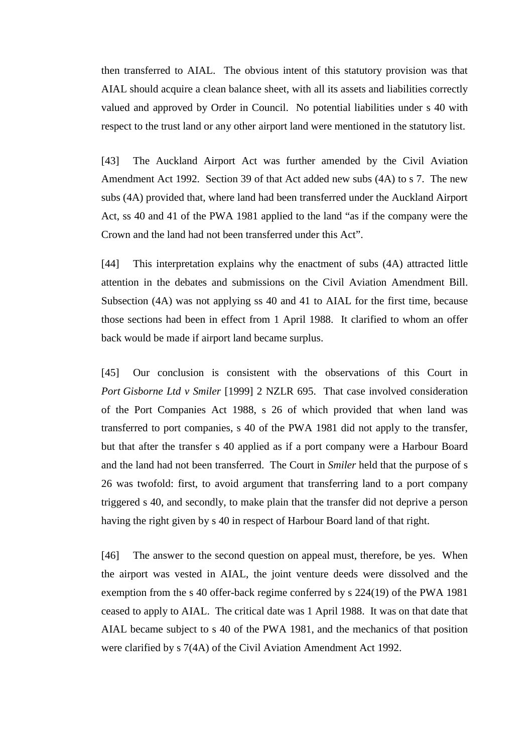then transferred to AIAL. The obvious intent of this statutory provision was that AIAL should acquire a clean balance sheet, with all its assets and liabilities correctly valued and approved by Order in Council. No potential liabilities under s 40 with respect to the trust land or any other airport land were mentioned in the statutory list.

[43] The Auckland Airport Act was further amended by the Civil Aviation Amendment Act 1992. Section 39 of that Act added new subs (4A) to s 7. The new subs (4A) provided that, where land had been transferred under the Auckland Airport Act, ss 40 and 41 of the PWA 1981 applied to the land "as if the company were the Crown and the land had not been transferred under this Act".

[44] This interpretation explains why the enactment of subs (4A) attracted little attention in the debates and submissions on the Civil Aviation Amendment Bill. Subsection (4A) was not applying ss 40 and 41 to AIAL for the first time, because those sections had been in effect from 1 April 1988. It clarified to whom an offer back would be made if airport land became surplus.

[45] Our conclusion is consistent with the observations of this Court in *Port Gisborne Ltd v Smiler* [1999] 2 NZLR 695. That case involved consideration of the Port Companies Act 1988, s 26 of which provided that when land was transferred to port companies, s 40 of the PWA 1981 did not apply to the transfer, but that after the transfer s 40 applied as if a port company were a Harbour Board and the land had not been transferred. The Court in *Smiler* held that the purpose of s 26 was twofold: first, to avoid argument that transferring land to a port company triggered s 40, and secondly, to make plain that the transfer did not deprive a person having the right given by s 40 in respect of Harbour Board land of that right.

[46] The answer to the second question on appeal must, therefore, be yes. When the airport was vested in AIAL, the joint venture deeds were dissolved and the exemption from the s 40 offer-back regime conferred by s 224(19) of the PWA 1981 ceased to apply to AIAL. The critical date was 1 April 1988. It was on that date that AIAL became subject to s 40 of the PWA 1981, and the mechanics of that position were clarified by s 7(4A) of the Civil Aviation Amendment Act 1992.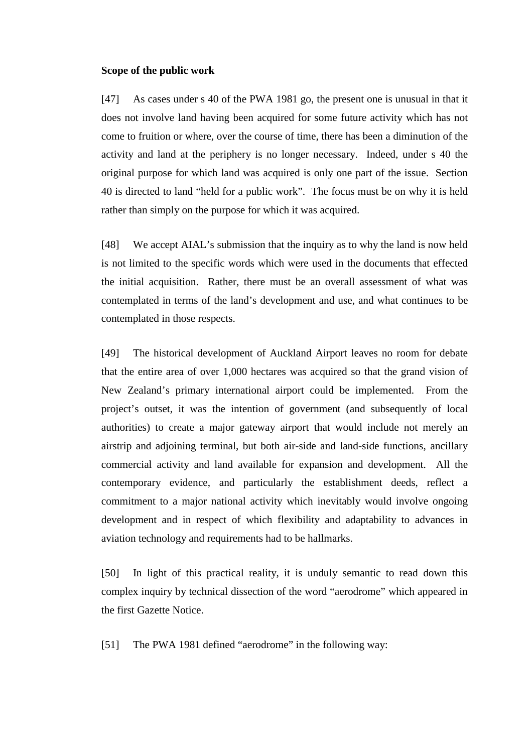#### **Scope of the public work**

[47] As cases under s 40 of the PWA 1981 go, the present one is unusual in that it does not involve land having been acquired for some future activity which has not come to fruition or where, over the course of time, there has been a diminution of the activity and land at the periphery is no longer necessary. Indeed, under s 40 the original purpose for which land was acquired is only one part of the issue. Section 40 is directed to land "held for a public work". The focus must be on why it is held rather than simply on the purpose for which it was acquired.

[48] We accept AIAL's submission that the inquiry as to why the land is now held is not limited to the specific words which were used in the documents that effected the initial acquisition. Rather, there must be an overall assessment of what was contemplated in terms of the land's development and use, and what continues to be contemplated in those respects.

[49] The historical development of Auckland Airport leaves no room for debate that the entire area of over 1,000 hectares was acquired so that the grand vision of New Zealand's primary international airport could be implemented. From the project's outset, it was the intention of government (and subsequently of local authorities) to create a major gateway airport that would include not merely an airstrip and adjoining terminal, but both air-side and land-side functions, ancillary commercial activity and land available for expansion and development. All the contemporary evidence, and particularly the establishment deeds, reflect a commitment to a major national activity which inevitably would involve ongoing development and in respect of which flexibility and adaptability to advances in aviation technology and requirements had to be hallmarks.

[50] In light of this practical reality, it is unduly semantic to read down this complex inquiry by technical dissection of the word "aerodrome" which appeared in the first Gazette Notice.

[51] The PWA 1981 defined "aerodrome" in the following way: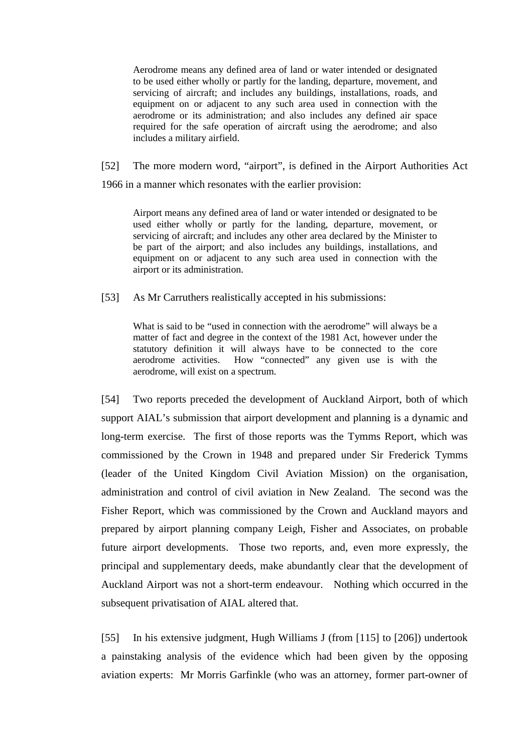Aerodrome means any defined area of land or water intended or designated to be used either wholly or partly for the landing, departure, movement, and servicing of aircraft; and includes any buildings, installations, roads, and equipment on or adjacent to any such area used in connection with the aerodrome or its administration; and also includes any defined air space required for the safe operation of aircraft using the aerodrome; and also includes a military airfield.

[52] The more modern word, "airport", is defined in the Airport Authorities Act 1966 in a manner which resonates with the earlier provision:

Airport means any defined area of land or water intended or designated to be used either wholly or partly for the landing, departure, movement, or servicing of aircraft; and includes any other area declared by the Minister to be part of the airport; and also includes any buildings, installations, and equipment on or adjacent to any such area used in connection with the airport or its administration.

[53] As Mr Carruthers realistically accepted in his submissions:

What is said to be "used in connection with the aerodrome" will always be a matter of fact and degree in the context of the 1981 Act, however under the statutory definition it will always have to be connected to the core aerodrome activities. How "connected" any given use is with the aerodrome, will exist on a spectrum.

[54] Two reports preceded the development of Auckland Airport, both of which support AIAL's submission that airport development and planning is a dynamic and long-term exercise. The first of those reports was the Tymms Report, which was commissioned by the Crown in 1948 and prepared under Sir Frederick Tymms (leader of the United Kingdom Civil Aviation Mission) on the organisation, administration and control of civil aviation in New Zealand. The second was the Fisher Report, which was commissioned by the Crown and Auckland mayors and prepared by airport planning company Leigh, Fisher and Associates, on probable future airport developments. Those two reports, and, even more expressly, the principal and supplementary deeds, make abundantly clear that the development of Auckland Airport was not a short-term endeavour. Nothing which occurred in the subsequent privatisation of AIAL altered that.

[55] In his extensive judgment, Hugh Williams J (from [115] to [206]) undertook a painstaking analysis of the evidence which had been given by the opposing aviation experts: Mr Morris Garfinkle (who was an attorney, former part-owner of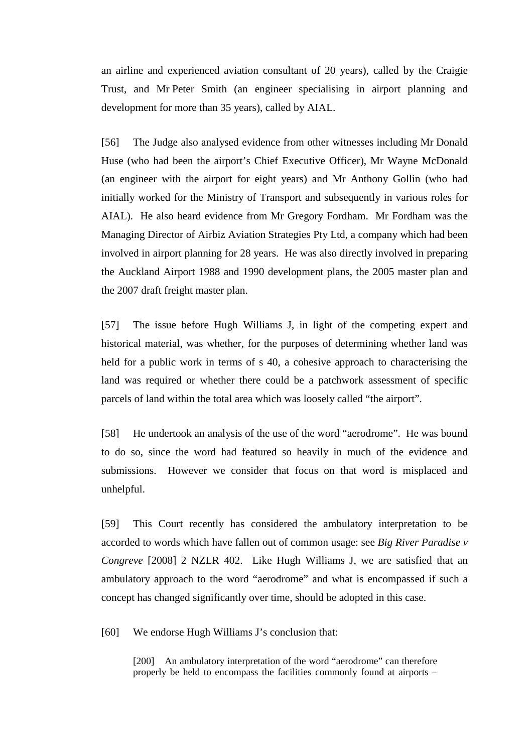an airline and experienced aviation consultant of 20 years), called by the Craigie Trust, and Mr Peter Smith (an engineer specialising in airport planning and development for more than 35 years), called by AIAL.

[56] The Judge also analysed evidence from other witnesses including Mr Donald Huse (who had been the airport's Chief Executive Officer), Mr Wayne McDonald (an engineer with the airport for eight years) and Mr Anthony Gollin (who had initially worked for the Ministry of Transport and subsequently in various roles for AIAL). He also heard evidence from Mr Gregory Fordham. Mr Fordham was the Managing Director of Airbiz Aviation Strategies Pty Ltd, a company which had been involved in airport planning for 28 years. He was also directly involved in preparing the Auckland Airport 1988 and 1990 development plans, the 2005 master plan and the 2007 draft freight master plan.

[57] The issue before Hugh Williams J, in light of the competing expert and historical material, was whether, for the purposes of determining whether land was held for a public work in terms of s 40, a cohesive approach to characterising the land was required or whether there could be a patchwork assessment of specific parcels of land within the total area which was loosely called "the airport".

[58] He undertook an analysis of the use of the word "aerodrome". He was bound to do so, since the word had featured so heavily in much of the evidence and submissions. However we consider that focus on that word is misplaced and unhelpful.

[59] This Court recently has considered the ambulatory interpretation to be accorded to words which have fallen out of common usage: see *Big River Paradise v Congreve* [2008] 2 NZLR 402. Like Hugh Williams J, we are satisfied that an ambulatory approach to the word "aerodrome" and what is encompassed if such a concept has changed significantly over time, should be adopted in this case.

[60] We endorse Hugh Williams J's conclusion that:

[200] An ambulatory interpretation of the word "aerodrome" can therefore properly be held to encompass the facilities commonly found at airports –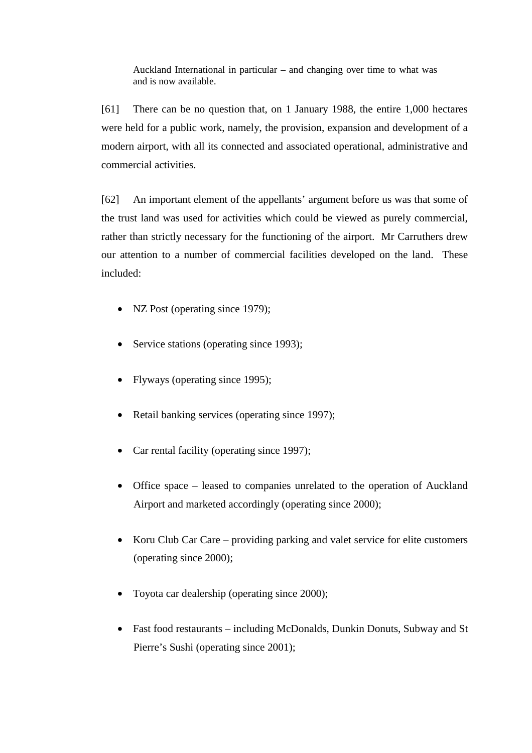Auckland International in particular – and changing over time to what was and is now available.

[61] There can be no question that, on 1 January 1988, the entire 1,000 hectares were held for a public work, namely, the provision, expansion and development of a modern airport, with all its connected and associated operational, administrative and commercial activities.

[62] An important element of the appellants' argument before us was that some of the trust land was used for activities which could be viewed as purely commercial, rather than strictly necessary for the functioning of the airport. Mr Carruthers drew our attention to a number of commercial facilities developed on the land. These included:

- NZ Post (operating since 1979);
- Service stations (operating since 1993);
- Flyways (operating since 1995);
- Retail banking services (operating since 1997);
- Car rental facility (operating since 1997);
- Office space leased to companies unrelated to the operation of Auckland Airport and marketed accordingly (operating since 2000);
- Koru Club Car Care providing parking and valet service for elite customers (operating since 2000);
- Toyota car dealership (operating since 2000);
- Fast food restaurants including McDonalds, Dunkin Donuts, Subway and St Pierre's Sushi (operating since 2001);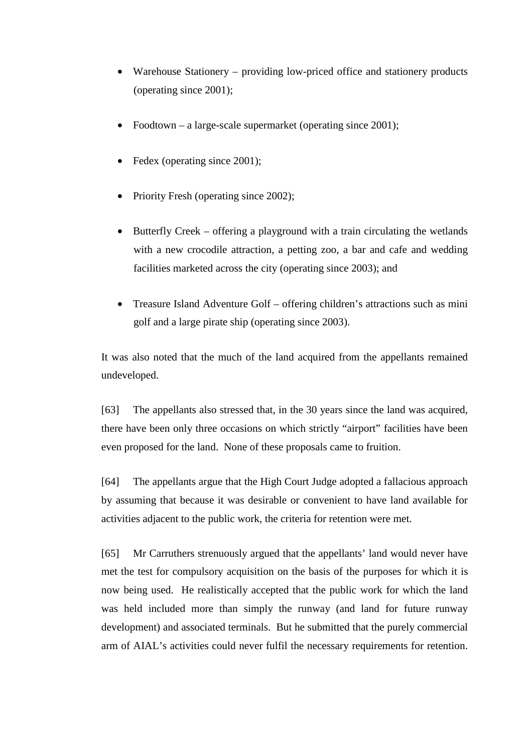- Warehouse Stationery providing low-priced office and stationery products (operating since 2001);
- Foodtown a large-scale supermarket (operating since 2001);
- Fedex (operating since 2001);
- Priority Fresh (operating since 2002);
- Butterfly Creek offering a playground with a train circulating the wetlands with a new crocodile attraction, a petting zoo, a bar and cafe and wedding facilities marketed across the city (operating since 2003); and
- Treasure Island Adventure Golf offering children's attractions such as mini golf and a large pirate ship (operating since 2003).

It was also noted that the much of the land acquired from the appellants remained undeveloped.

[63] The appellants also stressed that, in the 30 years since the land was acquired, there have been only three occasions on which strictly "airport" facilities have been even proposed for the land. None of these proposals came to fruition.

[64] The appellants argue that the High Court Judge adopted a fallacious approach by assuming that because it was desirable or convenient to have land available for activities adjacent to the public work, the criteria for retention were met.

[65] Mr Carruthers strenuously argued that the appellants' land would never have met the test for compulsory acquisition on the basis of the purposes for which it is now being used. He realistically accepted that the public work for which the land was held included more than simply the runway (and land for future runway development) and associated terminals. But he submitted that the purely commercial arm of AIAL's activities could never fulfil the necessary requirements for retention.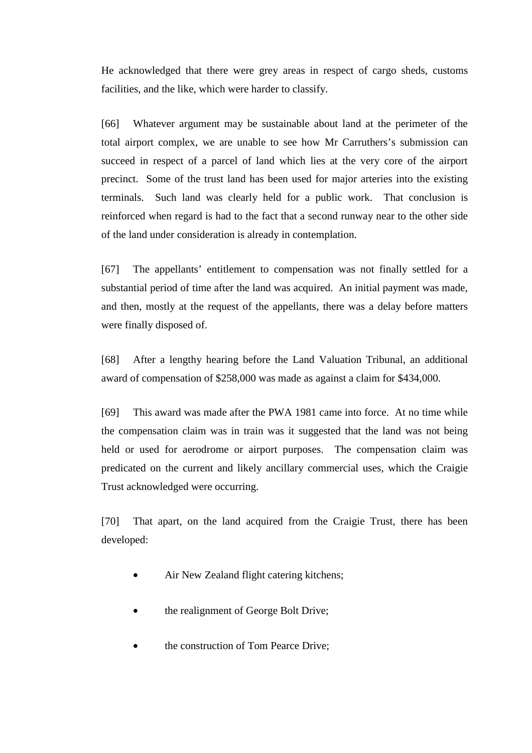He acknowledged that there were grey areas in respect of cargo sheds, customs facilities, and the like, which were harder to classify.

[66] Whatever argument may be sustainable about land at the perimeter of the total airport complex, we are unable to see how Mr Carruthers's submission can succeed in respect of a parcel of land which lies at the very core of the airport precinct. Some of the trust land has been used for major arteries into the existing terminals. Such land was clearly held for a public work. That conclusion is reinforced when regard is had to the fact that a second runway near to the other side of the land under consideration is already in contemplation.

[67] The appellants' entitlement to compensation was not finally settled for a substantial period of time after the land was acquired. An initial payment was made, and then, mostly at the request of the appellants, there was a delay before matters were finally disposed of.

[68] After a lengthy hearing before the Land Valuation Tribunal, an additional award of compensation of \$258,000 was made as against a claim for \$434,000.

[69] This award was made after the PWA 1981 came into force. At no time while the compensation claim was in train was it suggested that the land was not being held or used for aerodrome or airport purposes. The compensation claim was predicated on the current and likely ancillary commercial uses, which the Craigie Trust acknowledged were occurring.

[70] That apart, on the land acquired from the Craigie Trust, there has been developed:

- Air New Zealand flight catering kitchens;
- the realignment of George Bolt Drive;
- the construction of Tom Pearce Drive;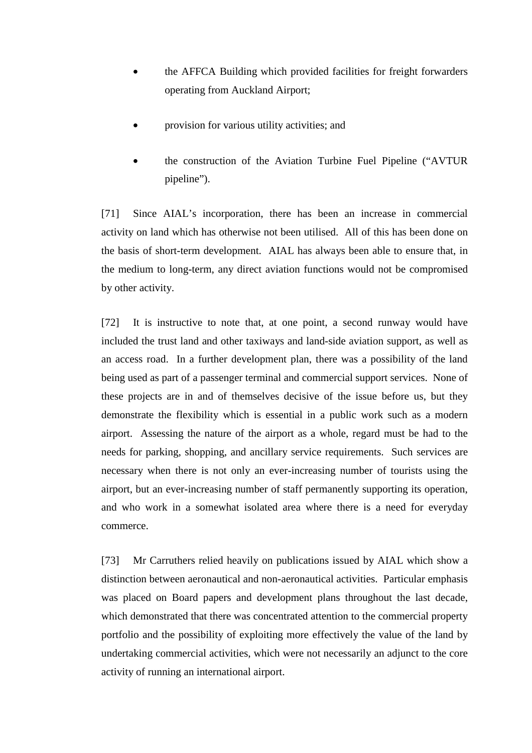- the AFFCA Building which provided facilities for freight forwarders operating from Auckland Airport;
- provision for various utility activities; and
- the construction of the Aviation Turbine Fuel Pipeline ("AVTUR pipeline").

[71] Since AIAL's incorporation, there has been an increase in commercial activity on land which has otherwise not been utilised. All of this has been done on the basis of short-term development. AIAL has always been able to ensure that, in the medium to long-term, any direct aviation functions would not be compromised by other activity.

[72] It is instructive to note that, at one point, a second runway would have included the trust land and other taxiways and land-side aviation support, as well as an access road. In a further development plan, there was a possibility of the land being used as part of a passenger terminal and commercial support services. None of these projects are in and of themselves decisive of the issue before us, but they demonstrate the flexibility which is essential in a public work such as a modern airport. Assessing the nature of the airport as a whole, regard must be had to the needs for parking, shopping, and ancillary service requirements. Such services are necessary when there is not only an ever-increasing number of tourists using the airport, but an ever-increasing number of staff permanently supporting its operation, and who work in a somewhat isolated area where there is a need for everyday commerce.

[73] Mr Carruthers relied heavily on publications issued by AIAL which show a distinction between aeronautical and non-aeronautical activities. Particular emphasis was placed on Board papers and development plans throughout the last decade, which demonstrated that there was concentrated attention to the commercial property portfolio and the possibility of exploiting more effectively the value of the land by undertaking commercial activities, which were not necessarily an adjunct to the core activity of running an international airport.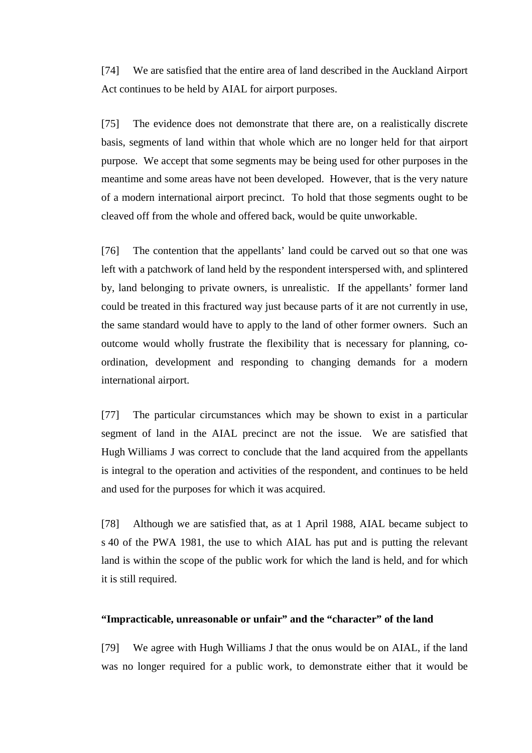[74] We are satisfied that the entire area of land described in the Auckland Airport Act continues to be held by AIAL for airport purposes.

[75] The evidence does not demonstrate that there are, on a realistically discrete basis, segments of land within that whole which are no longer held for that airport purpose. We accept that some segments may be being used for other purposes in the meantime and some areas have not been developed. However, that is the very nature of a modern international airport precinct. To hold that those segments ought to be cleaved off from the whole and offered back, would be quite unworkable.

[76] The contention that the appellants' land could be carved out so that one was left with a patchwork of land held by the respondent interspersed with, and splintered by, land belonging to private owners, is unrealistic. If the appellants' former land could be treated in this fractured way just because parts of it are not currently in use, the same standard would have to apply to the land of other former owners. Such an outcome would wholly frustrate the flexibility that is necessary for planning, coordination, development and responding to changing demands for a modern international airport.

[77] The particular circumstances which may be shown to exist in a particular segment of land in the AIAL precinct are not the issue. We are satisfied that Hugh Williams J was correct to conclude that the land acquired from the appellants is integral to the operation and activities of the respondent, and continues to be held and used for the purposes for which it was acquired.

[78] Although we are satisfied that, as at 1 April 1988, AIAL became subject to s 40 of the PWA 1981, the use to which AIAL has put and is putting the relevant land is within the scope of the public work for which the land is held, and for which it is still required.

## **"Impracticable, unreasonable or unfair" and the "character" of the land**

[79] We agree with Hugh Williams J that the onus would be on AIAL, if the land was no longer required for a public work, to demonstrate either that it would be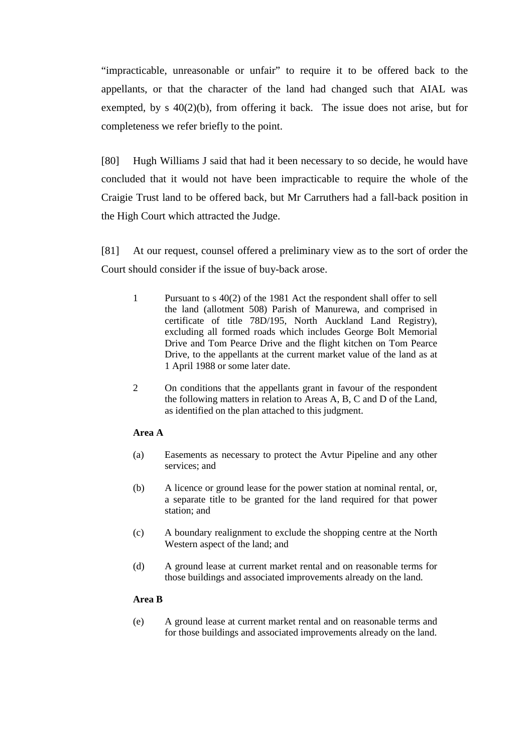"impracticable, unreasonable or unfair" to require it to be offered back to the appellants, or that the character of the land had changed such that AIAL was exempted, by s 40(2)(b), from offering it back. The issue does not arise, but for completeness we refer briefly to the point.

[80] Hugh Williams J said that had it been necessary to so decide, he would have concluded that it would not have been impracticable to require the whole of the Craigie Trust land to be offered back, but Mr Carruthers had a fall-back position in the High Court which attracted the Judge.

[81] At our request, counsel offered a preliminary view as to the sort of order the Court should consider if the issue of buy-back arose.

- 1 Pursuant to s 40(2) of the 1981 Act the respondent shall offer to sell the land (allotment 508) Parish of Manurewa, and comprised in certificate of title 78D/195, North Auckland Land Registry), excluding all formed roads which includes George Bolt Memorial Drive and Tom Pearce Drive and the flight kitchen on Tom Pearce Drive, to the appellants at the current market value of the land as at 1 April 1988 or some later date.
- 2 On conditions that the appellants grant in favour of the respondent the following matters in relation to Areas A, B, C and D of the Land, as identified on the plan attached to this judgment.

#### **Area A**

- (a) Easements as necessary to protect the Avtur Pipeline and any other services; and
- (b) A licence or ground lease for the power station at nominal rental, or, a separate title to be granted for the land required for that power station; and
- (c) A boundary realignment to exclude the shopping centre at the North Western aspect of the land; and
- (d) A ground lease at current market rental and on reasonable terms for those buildings and associated improvements already on the land.

#### **Area B**

(e) A ground lease at current market rental and on reasonable terms and for those buildings and associated improvements already on the land.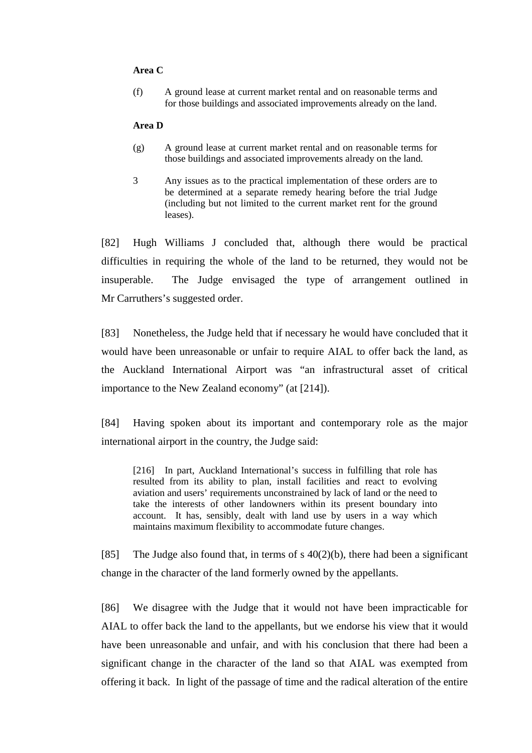## **Area C**

(f) A ground lease at current market rental and on reasonable terms and for those buildings and associated improvements already on the land.

## **Area D**

- (g) A ground lease at current market rental and on reasonable terms for those buildings and associated improvements already on the land.
- 3 Any issues as to the practical implementation of these orders are to be determined at a separate remedy hearing before the trial Judge (including but not limited to the current market rent for the ground leases).

[82] Hugh Williams J concluded that, although there would be practical difficulties in requiring the whole of the land to be returned, they would not be insuperable. The Judge envisaged the type of arrangement outlined in Mr Carruthers's suggested order.

[83] Nonetheless, the Judge held that if necessary he would have concluded that it would have been unreasonable or unfair to require AIAL to offer back the land, as the Auckland International Airport was "an infrastructural asset of critical importance to the New Zealand economy" (at [214]).

[84] Having spoken about its important and contemporary role as the major international airport in the country, the Judge said:

[216] In part, Auckland International's success in fulfilling that role has resulted from its ability to plan, install facilities and react to evolving aviation and users' requirements unconstrained by lack of land or the need to take the interests of other landowners within its present boundary into account. It has, sensibly, dealt with land use by users in a way which maintains maximum flexibility to accommodate future changes.

[85] The Judge also found that, in terms of s  $40(2)(b)$ , there had been a significant change in the character of the land formerly owned by the appellants.

[86] We disagree with the Judge that it would not have been impracticable for AIAL to offer back the land to the appellants, but we endorse his view that it would have been unreasonable and unfair, and with his conclusion that there had been a significant change in the character of the land so that AIAL was exempted from offering it back. In light of the passage of time and the radical alteration of the entire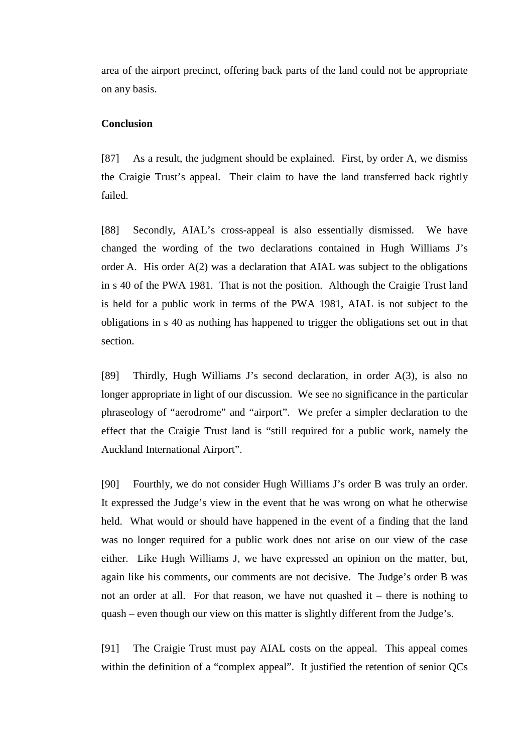area of the airport precinct, offering back parts of the land could not be appropriate on any basis.

## **Conclusion**

[87] As a result, the judgment should be explained. First, by order A, we dismiss the Craigie Trust's appeal. Their claim to have the land transferred back rightly failed.

[88] Secondly, AIAL's cross-appeal is also essentially dismissed. We have changed the wording of the two declarations contained in Hugh Williams J's order A. His order A(2) was a declaration that AIAL was subject to the obligations in s 40 of the PWA 1981. That is not the position. Although the Craigie Trust land is held for a public work in terms of the PWA 1981, AIAL is not subject to the obligations in s 40 as nothing has happened to trigger the obligations set out in that section.

[89] Thirdly, Hugh Williams J's second declaration, in order A(3), is also no longer appropriate in light of our discussion. We see no significance in the particular phraseology of "aerodrome" and "airport". We prefer a simpler declaration to the effect that the Craigie Trust land is "still required for a public work, namely the Auckland International Airport".

[90] Fourthly, we do not consider Hugh Williams J's order B was truly an order. It expressed the Judge's view in the event that he was wrong on what he otherwise held. What would or should have happened in the event of a finding that the land was no longer required for a public work does not arise on our view of the case either. Like Hugh Williams J, we have expressed an opinion on the matter, but, again like his comments, our comments are not decisive. The Judge's order B was not an order at all. For that reason, we have not quashed it – there is nothing to quash – even though our view on this matter is slightly different from the Judge's.

[91] The Craigie Trust must pay AIAL costs on the appeal. This appeal comes within the definition of a "complex appeal". It justified the retention of senior QCs